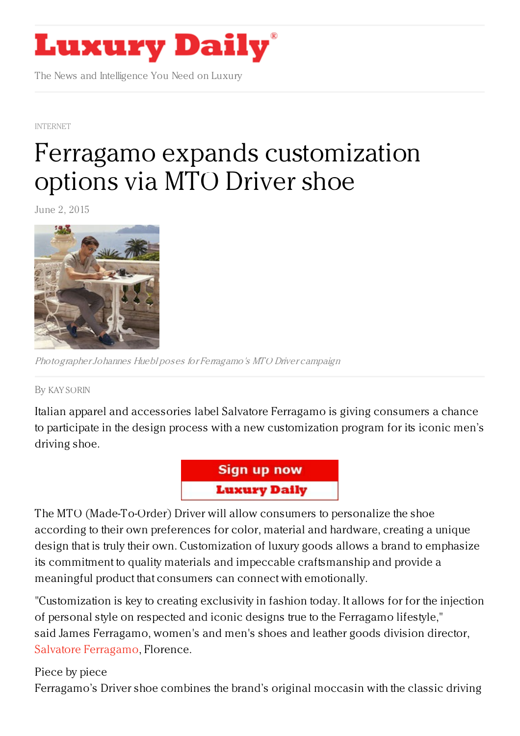

The News and Intelligence You Need on Luxury

[INTERNET](https://www.luxurydaily.com/category/news/internet-news/)

## Ferragamo expands [customization](https://www.luxurydaily.com/ferragamo-expands-customization-options-with-mto-driver-shoe/) options via MTO Driver shoe

June 2, 2015



PhotographerJohannes Huebl poses for Ferragamo's MTO Driver campaign

By KAY [SORIN](/author/kay-sorin)

Italian apparel and accessories label Salvatore Ferragamo is giving consumers a chance to participate in the design process with a new customization program for its iconic men's driving shoe.



The MTO (Made-To-Order) Driver will allow consumers to personalize the shoe according to their own preferences for color, material and hardware, creating a unique design that is truly their own. Customization of luxury goods allows a brand to emphasize its commitment to quality materials and impeccable craftsmanship and provide a meaningful product that consumers can connect with emotionally.

"Customization is key to creating exclusivity in fashion today. It allows for for the injection of personal style on respected and iconic designs true to the Ferragamo lifestyle," said James Ferragamo, women's and men's shoes and leather goods division director, Salvatore [Ferragamo,](http://www.ferragamo.com/shop/en/usa) Florence.

## Piece by piece

Ferragamo's Driver shoe combines the brand's original moccasin with the classic driving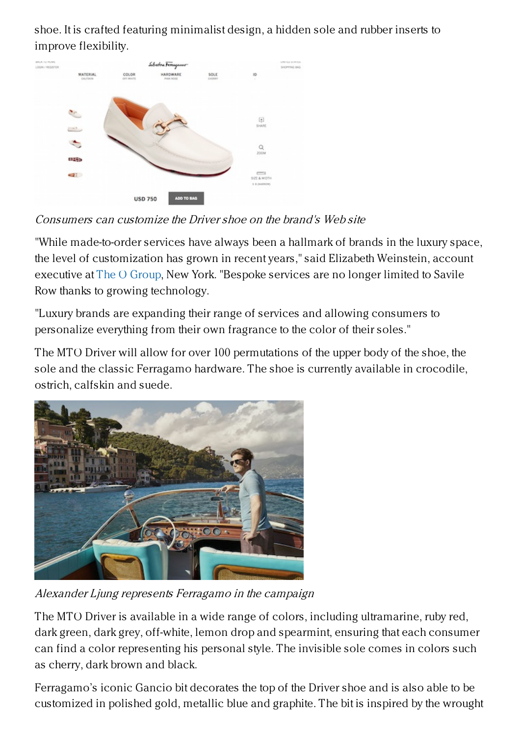shoe. It is crafted featuring minimalist design, a hidden sole and rubber inserts to improve flexibility.



Consumers can customize the Driver shoe on the brand's Web site

"While made-to-order services have always been a hallmark of brands in the luxury space, the level of customization has grown in recent years," said Elizabeth Weinstein, account executive at The O [Group](http://ogroup.net/), New York. "Bespoke services are no longer limited to Savile Row thanks to growing technology.

"Luxury brands are expanding their range of services and allowing consumers to personalize everything from their own fragrance to the color of their soles."

The MTO Driver will allow for over 100 permutations of the upper body of the shoe, the sole and the classic Ferragamo hardware. The shoe is currently available in crocodile, ostrich, calfskin and suede.



Alexander Ljung represents Ferragamo in the campaign

The MTO Driver is available in a wide range of colors, including ultramarine, ruby red, dark green, dark grey, off-white, lemon drop and spearmint, ensuring that each consumer can find a color representing his personal style. The invisible sole comes in colors such as cherry, dark brown and black.

Ferragamo's iconic Gancio bit decorates the top of the Driver shoe and is also able to be customized in polished gold, metallic blue and graphite. The bit is inspired by the wrought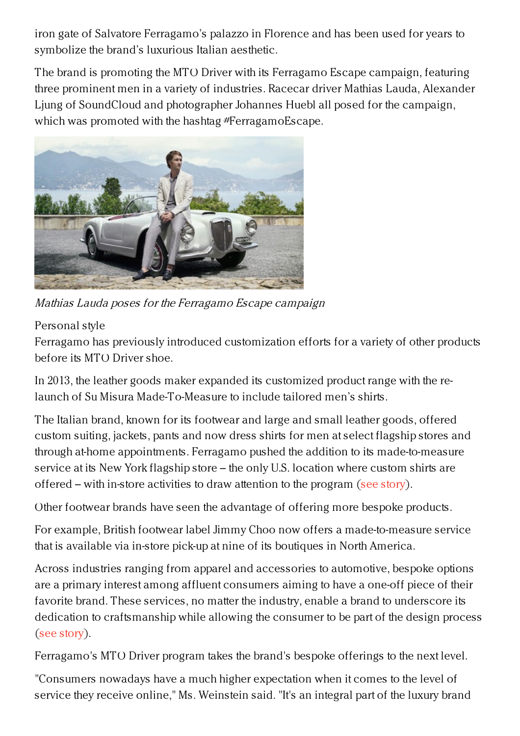iron gate of Salvatore Ferragamo's palazzo in Florence and has been used for years to symbolize the brand's luxurious Italian aesthetic.

The brand is promoting the MTO Driver with its Ferragamo Escape campaign, featuring three prominent men in a variety of industries. Racecar driver Mathias Lauda, Alexander Ljung of SoundCloud and photographer Johannes Huebl all posed for the campaign, which was promoted with the hashtag #FerragamoEscape.



Mathias Lauda poses for the Ferragamo Escape campaign

## Personal style

Ferragamo has previously introduced customization efforts for a variety of other products before its MTO Driver shoe.

In 2013, the leather goods maker expanded its customized product range with the relaunch of Su Misura Made-To-Measure to include tailored men's shirts.

The Italian brand, known for its footwear and large and small leather goods, offered custom suiting, jackets, pants and now dress shirts for men at select flagship stores and through at-home appointments. Ferragamo pushed the addition to its made-to-measure service at its New York flagship store – the only U.S. location where custom shirts are offered – with in-store activities to draw attention to the program (see [story](https://www.luxurydaily.com/ferragamo-pushes-made-to-measure-service-via-in-store-showcase/)).

Other footwear brands have seen the advantage of offering more bespoke products.

For example, British footwear label Jimmy Choo now offers a made-to-measure service that is available via in-store pick-up at nine of its boutiques in North America.

Across industries ranging from apparel and accessories to automotive, bespoke options are a primary interest among affluent consumers aiming to have a one-off piece of their favorite brand. These services, no matter the industry, enable a brand to underscore its dedication to craftsmanship while allowing the consumer to be part of the design process (see [story](https://www.luxurydaily.com/jimmy-choo-drives-in-store-traffic-via-made-to-measure-pick-ups/)).

Ferragamo's MTO Driver program takes the brand's bespoke offerings to the next level.

"Consumers nowadays have a much higher expectation when it comes to the level of service they receive online," Ms. Weinstein said. "It's an integral part of the luxury brand